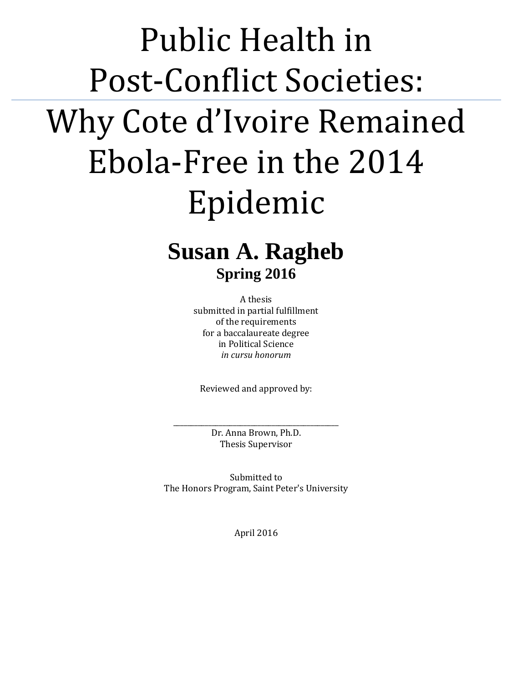# Public Health in Post-Conflict Societies: Why Cote d'Ivoire Remained Ebola-Free in the 2014 Epidemic

## **Susan A. Ragheb Spring 2016**

A thesis submitted in partial fulfillment of the requirements for a baccalaureate degree in Political Science *in cursu honorum*

Reviewed and approved by:

\_\_\_\_\_\_\_\_\_\_\_\_\_\_\_\_\_\_\_\_\_\_\_\_\_\_\_\_\_\_\_\_\_\_\_\_\_\_\_\_\_\_\_\_\_\_\_ Dr. Anna Brown, Ph.D. Thesis Supervisor

Submitted to The Honors Program, Saint Peter's University

April 2016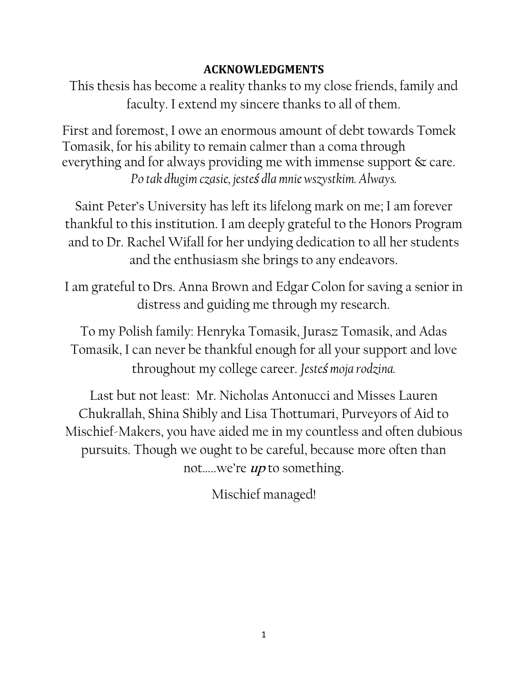### **ACKNOWLEDGMENTS**

This thesis has become a reality thanks to my close friends, family and faculty. I extend my sincere thanks to all of them.

First and foremost, I owe an enormous amount of debt towards Tomek Tomasik, for his ability to remain calmer than a coma through everything and for always providing me with immense support & care. *Po tak długim czasie, jesteś dla mnie wszystkim. Always.*

Saint Peter's University has left its lifelong mark on me; I am forever thankful to this institution. I am deeply grateful to the Honors Program and to Dr. Rachel Wifall for her undying dedication to all her students and the enthusiasm she brings to any endeavors.

I am grateful to Drs. Anna Brown and Edgar Colon for saving a senior in distress and guiding me through my research.

To my Polish family: Henryka Tomasik, Jurasz Tomasik, and Adas Tomasik, I can never be thankful enough for all your support and love throughout my college career. *Jesteś moja rodzina.*

Last but not least: Mr. Nicholas Antonucci and Misses Lauren Chukrallah, Shina Shibly and Lisa Thottumari, Purveyors of Aid to Mischief-Makers, you have aided me in my countless and often dubious pursuits. Though we ought to be careful, because more often than not…..we're **up** to something.

Mischief managed!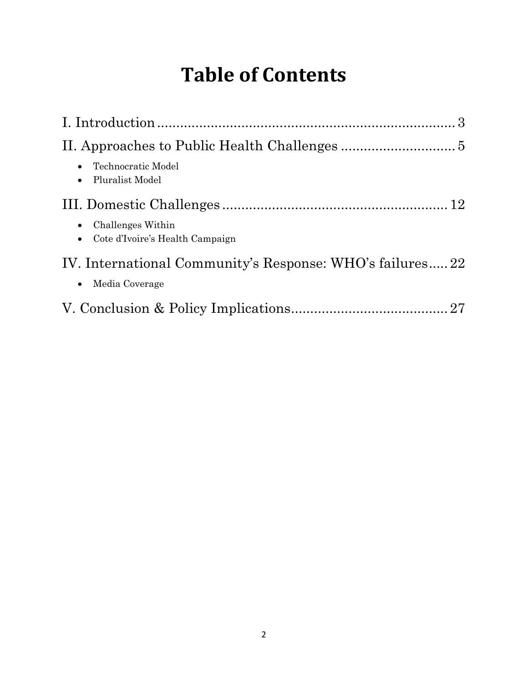## **Table of Contents**

| Technocratic Model<br>$\bullet$<br>Pluralist Model<br>$\bullet$                |
|--------------------------------------------------------------------------------|
|                                                                                |
| Challenges Within<br>$\bullet$<br>Cote d'Ivoire's Health Campaign<br>$\bullet$ |
| IV. International Community's Response: WHO's failures22                       |
| Media Coverage<br>$\bullet$                                                    |
|                                                                                |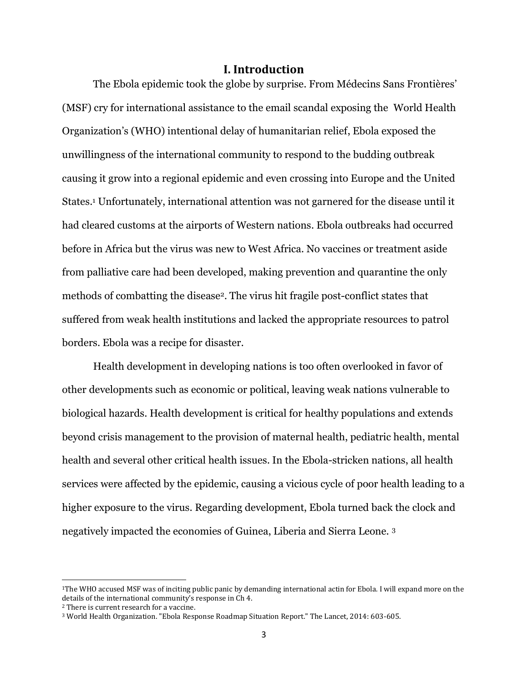#### **I. Introduction**

<span id="page-3-0"></span>The Ebola epidemic took the globe by surprise. From Médecins Sans Frontières' (MSF) cry for international assistance to the email scandal exposing the World Health Organization's (WHO) intentional delay of humanitarian relief, Ebola exposed the unwillingness of the international community to respond to the budding outbreak causing it grow into a regional epidemic and even crossing into Europe and the United States.<sup>1</sup> Unfortunately, international attention was not garnered for the disease until it had cleared customs at the airports of Western nations. Ebola outbreaks had occurred before in Africa but the virus was new to West Africa. No vaccines or treatment aside from palliative care had been developed, making prevention and quarantine the only methods of combatting the disease2. The virus hit fragile post-conflict states that suffered from weak health institutions and lacked the appropriate resources to patrol borders. Ebola was a recipe for disaster.

Health development in developing nations is too often overlooked in favor of other developments such as economic or political, leaving weak nations vulnerable to biological hazards. Health development is critical for healthy populations and extends beyond crisis management to the provision of maternal health, pediatric health, mental health and several other critical health issues. In the Ebola-stricken nations, all health services were affected by the epidemic, causing a vicious cycle of poor health leading to a higher exposure to the virus. Regarding development, Ebola turned back the clock and negatively impacted the economies of Guinea, Liberia and Sierra Leone. <sup>3</sup>

<sup>1</sup>The WHO accused MSF was of inciting public panic by demanding international actin for Ebola. I will expand more on the details of the international community's response in Ch 4.

<sup>2</sup> There is current research for a vaccine.

<sup>3</sup> World Health Organization. "Ebola Response Roadmap Situation Report." The Lancet, 2014: 603-605.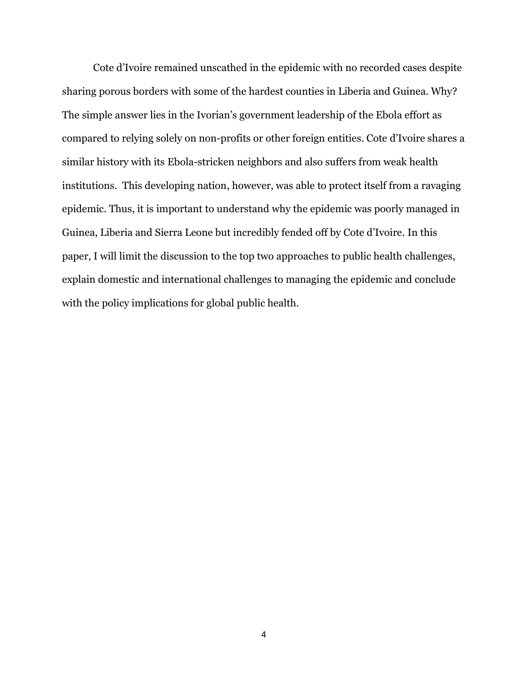Cote d'Ivoire remained unscathed in the epidemic with no recorded cases despite sharing porous borders with some of the hardest counties in Liberia and Guinea. Why? The simple answer lies in the Ivorian's government leadership of the Ebola effort as compared to relying solely on non-profits or other foreign entities. Cote d'Ivoire shares a similar history with its Ebola-stricken neighbors and also suffers from weak health institutions. This developing nation, however, was able to protect itself from a ravaging epidemic. Thus, it is important to understand why the epidemic was poorly managed in Guinea, Liberia and Sierra Leone but incredibly fended off by Cote d'Ivoire. In this paper, I will limit the discussion to the top two approaches to public health challenges, explain domestic and international challenges to managing the epidemic and conclude with the policy implications for global public health.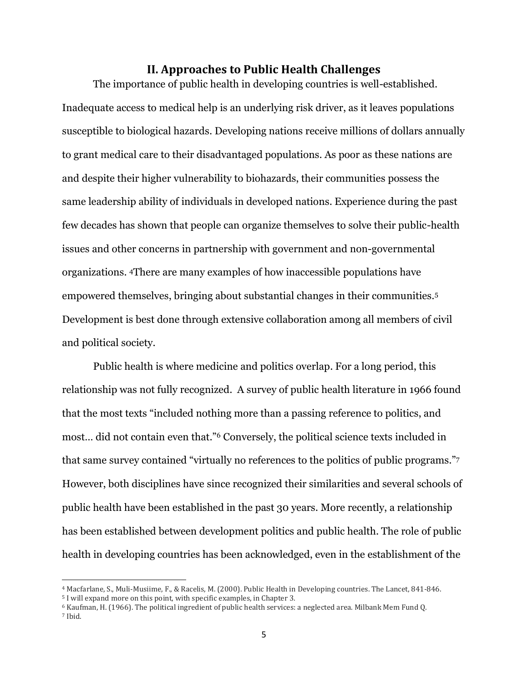#### **II. Approaches to Public Health Challenges**

<span id="page-5-0"></span>The importance of public health in developing countries is well-established. Inadequate access to medical help is an underlying risk driver, as it leaves populations susceptible to biological hazards. Developing nations receive millions of dollars annually to grant medical care to their disadvantaged populations. As poor as these nations are and despite their higher vulnerability to biohazards, their communities possess the same leadership ability of individuals in developed nations. Experience during the past few decades has shown that people can organize themselves to solve their public-health issues and other concerns in partnership with government and non-governmental organizations. <sup>4</sup>There are many examples of how inaccessible populations have empowered themselves, bringing about substantial changes in their communities.<sup>5</sup> Development is best done through extensive collaboration among all members of civil and political society.

Public health is where medicine and politics overlap. For a long period, this relationship was not fully recognized. A survey of public health literature in 1966 found that the most texts "included nothing more than a passing reference to politics, and most… did not contain even that."<sup>6</sup> Conversely, the political science texts included in that same survey contained "virtually no references to the politics of public programs."<sup>7</sup> However, both disciplines have since recognized their similarities and several schools of public health have been established in the past 30 years. More recently, a relationship has been established between development politics and public health. The role of public health in developing countries has been acknowledged, even in the establishment of the

<sup>4</sup> Macfarlane, S., Muli-Musiime, F., & Racelis, M. (2000). Public Health in Developing countries. The Lancet, 841-846.

<sup>5</sup> I will expand more on this point, with specific examples, in Chapter 3.

<sup>6</sup> Kaufman, H. (1966). The political ingredient of public health services: a neglected area. Milbank Mem Fund Q.

<sup>7</sup> Ibid.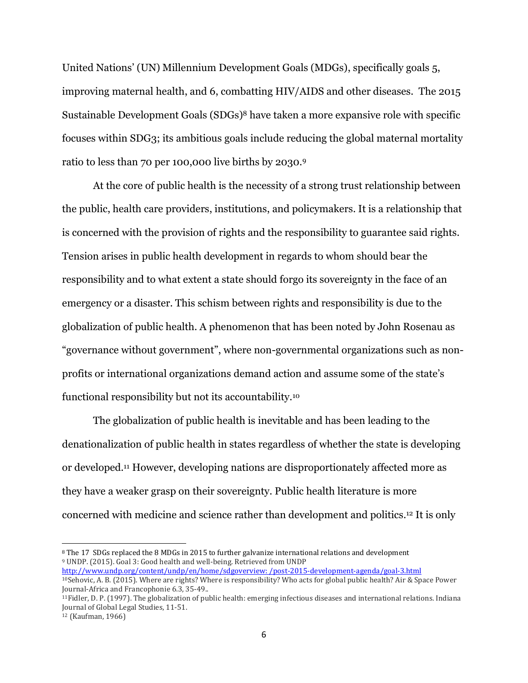United Nations' (UN) Millennium Development Goals (MDGs), specifically goals 5, improving maternal health, and 6, combatting HIV/AIDS and other diseases. The 2015 Sustainable Development Goals (SDGs) <sup>8</sup> have taken a more expansive role with specific focuses within SDG3; its ambitious goals include reducing the global maternal mortality ratio to less than 70 per 100,000 live births by 2030.<sup>9</sup>

At the core of public health is the necessity of a strong trust relationship between the public, health care providers, institutions, and policymakers. It is a relationship that is concerned with the provision of rights and the responsibility to guarantee said rights. Tension arises in public health development in regards to whom should bear the responsibility and to what extent a state should forgo its sovereignty in the face of an emergency or a disaster. This schism between rights and responsibility is due to the globalization of public health. A phenomenon that has been noted by John Rosenau as "governance without government", where non-governmental organizations such as nonprofits or international organizations demand action and assume some of the state's functional responsibility but not its accountability.<sup>10</sup>

The globalization of public health is inevitable and has been leading to the denationalization of public health in states regardless of whether the state is developing or developed.<sup>11</sup> However, developing nations are disproportionately affected more as they have a weaker grasp on their sovereignty. Public health literature is more concerned with medicine and science rather than development and politics.<sup>12</sup> It is only

l

<sup>8</sup> The 17 SDGs replaced the 8 MDGs in 2015 to further galvanize international relations and development <sup>9</sup> UNDP. (2015). Goal 3: Good health and well-being. Retrieved from UNDP [http://www.undp.org/content/undp/en/home/sdgoverview: /post-2015-development-agenda/goal-3.html](http://www.undp.org/content/undp/en/home/sdgoverview:%20/post-2015-development-agenda/goal-3.html)

<sup>10</sup>Sehovic, A. B. (2015). Where are rights? Where is responsibility? Who acts for global public health? Air & Space Power Journal-Africa and Francophonie 6.3, 35-49..

<sup>11</sup>Fidler, D. P. (1997). The globalization of public health: emerging infectious diseases and international relations. Indiana Journal of Global Legal Studies, 11-51.

<sup>12</sup> (Kaufman, 1966)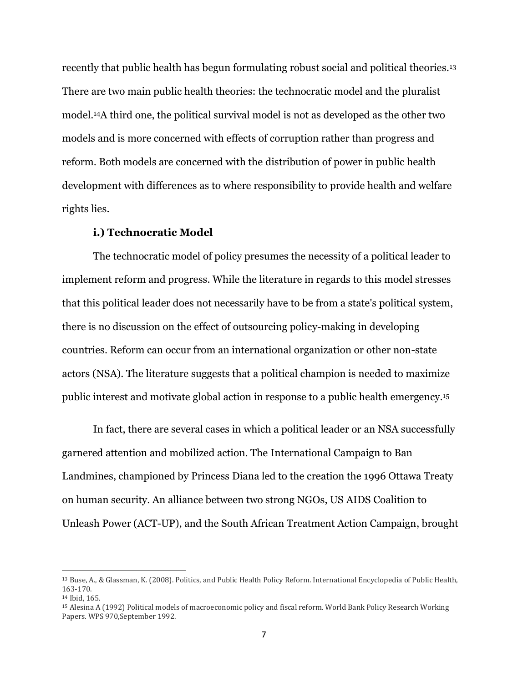recently that public health has begun formulating robust social and political theories.<sup>13</sup> There are two main public health theories: the technocratic model and the pluralist model.14A third one, the political survival model is not as developed as the other two models and is more concerned with effects of corruption rather than progress and reform. Both models are concerned with the distribution of power in public health development with differences as to where responsibility to provide health and welfare rights lies.

#### **i.) Technocratic Model**

The technocratic model of policy presumes the necessity of a political leader to implement reform and progress. While the literature in regards to this model stresses that this political leader does not necessarily have to be from a state's political system, there is no discussion on the effect of outsourcing policy-making in developing countries. Reform can occur from an international organization or other non-state actors (NSA). The literature suggests that a political champion is needed to maximize public interest and motivate global action in response to a public health emergency.<sup>15</sup>

In fact, there are several cases in which a political leader or an NSA successfully garnered attention and mobilized action. The International Campaign to Ban Landmines, championed by Princess Diana led to the creation the 1996 Ottawa Treaty on human security. An alliance between two strong NGOs, US AIDS Coalition to Unleash Power (ACT-UP), and the South African Treatment Action Campaign, brought

<sup>13</sup> Buse, A., & Glassman, K. (2008). Politics, and Public Health Policy Reform. International Encyclopedia of Public Health, 163-170.

<sup>14</sup> Ibid, 165.

<sup>15</sup> Alesina A (1992) Political models of macroeconomic policy and fiscal reform. World Bank Policy Research Working Papers. WPS 970,September 1992.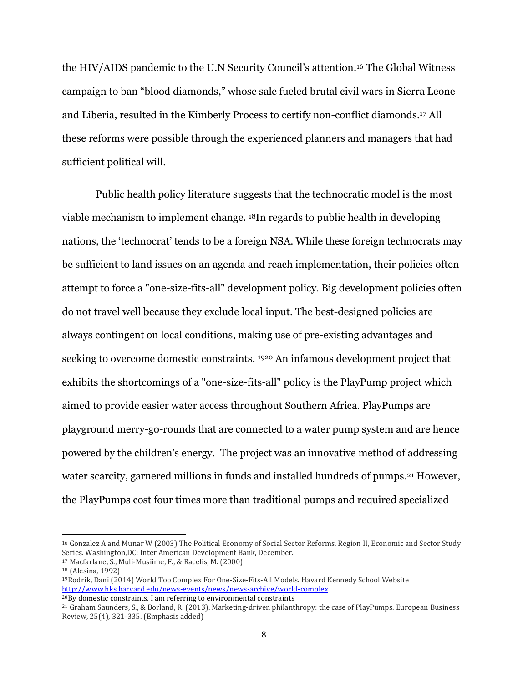the HIV/AIDS pandemic to the U.N Security Council's attention. <sup>16</sup> The Global Witness campaign to ban "blood diamonds," whose sale fueled brutal civil wars in Sierra Leone and Liberia, resulted in the Kimberly Process to certify non-conflict diamonds.<sup>17</sup> All these reforms were possible through the experienced planners and managers that had sufficient political will.

Public health policy literature suggests that the technocratic model is the most viable mechanism to implement change. <sup>18</sup>In regards to public health in developing nations, the 'technocrat' tends to be a foreign NSA. While these foreign technocrats may be sufficient to land issues on an agenda and reach implementation, their policies often attempt to force a "one-size-fits-all" development policy. Big development policies often do not travel well because they exclude local input. The best-designed policies are always contingent on local conditions, making use of pre-existing advantages and seeking to overcome domestic constraints. <sup>1920</sup> An infamous development project that exhibits the shortcomings of a "one-size-fits-all" policy is the PlayPump project which aimed to provide easier water access throughout Southern Africa. PlayPumps are playground merry-go-rounds that are connected to a water pump system and are hence powered by the children's energy. The project was an innovative method of addressing water scarcity, garnered millions in funds and installed hundreds of pumps.<sup>21</sup> However, the PlayPumps cost four times more than traditional pumps and required specialized

 $\overline{a}$ 

<sup>16</sup> Gonzalez A and Munar W (2003) The Political Economy of Social Sector Reforms. Region II, Economic and Sector Study Series. Washington,DC: Inter American Development Bank, December.

<sup>17</sup> Macfarlane, S., Muli-Musiime, F., & Racelis, M. (2000)

<sup>18</sup> (Alesina, 1992)

<sup>19</sup>Rodrik, Dani (2014) World Too Complex For One-Size-Fits-All Models. Havard Kennedy School Website <http://www.hks.harvard.edu/news-events/news/news-archive/world-complex>

<sup>20</sup>By domestic constraints, I am referring to environmental constraints

<sup>21</sup> Graham Saunders, S., & Borland, R. (2013). Marketing-driven philanthropy: the case of PlayPumps. European Business Review, 25(4), 321-335. (Emphasis added)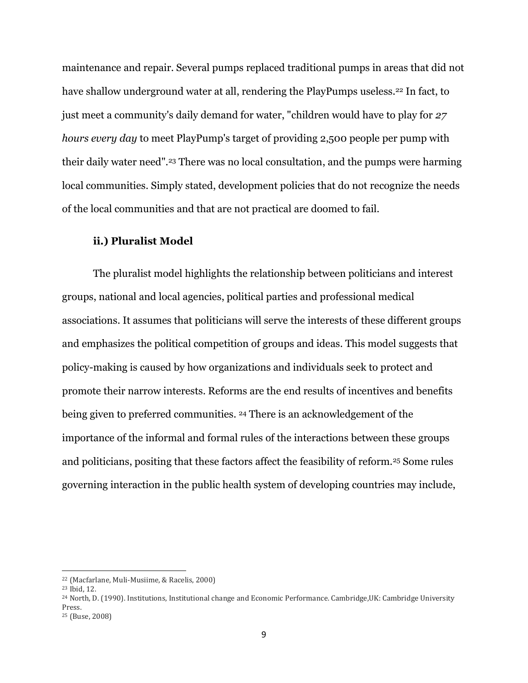maintenance and repair. Several pumps replaced traditional pumps in areas that did not have shallow underground water at all, rendering the PlayPumps useless.<sup>22</sup> In fact, to just meet a community's daily demand for water, "children would have to play for *27 hours every day* to meet PlayPump's target of providing 2,500 people per pump with their daily water need".<sup>23</sup> There was no local consultation, and the pumps were harming local communities. Simply stated, development policies that do not recognize the needs of the local communities and that are not practical are doomed to fail.

#### **ii.) Pluralist Model**

The pluralist model highlights the relationship between politicians and interest groups, national and local agencies, political parties and professional medical associations. It assumes that politicians will serve the interests of these different groups and emphasizes the political competition of groups and ideas. This model suggests that policy-making is caused by how organizations and individuals seek to protect and promote their narrow interests. Reforms are the end results of incentives and benefits being given to preferred communities. <sup>24</sup> There is an acknowledgement of the importance of the informal and formal rules of the interactions between these groups and politicians, positing that these factors affect the feasibility of reform.<sup>25</sup> Some rules governing interaction in the public health system of developing countries may include,

<sup>22</sup> (Macfarlane, Muli-Musiime, & Racelis, 2000)

<sup>23</sup> Ibid, 12.

<sup>24</sup> North, D. (1990). Institutions, Institutional change and Economic Performance. Cambridge,UK: Cambridge University Press.

<sup>25</sup> (Buse, 2008)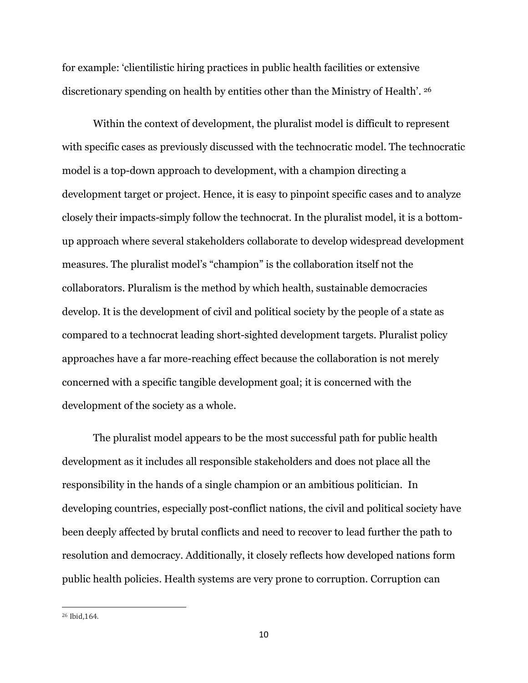for example: 'clientilistic hiring practices in public health facilities or extensive discretionary spending on health by entities other than the Ministry of Health'. 26

Within the context of development, the pluralist model is difficult to represent with specific cases as previously discussed with the technocratic model. The technocratic model is a top-down approach to development, with a champion directing a development target or project. Hence, it is easy to pinpoint specific cases and to analyze closely their impacts-simply follow the technocrat. In the pluralist model, it is a bottomup approach where several stakeholders collaborate to develop widespread development measures. The pluralist model's "champion" is the collaboration itself not the collaborators. Pluralism is the method by which health, sustainable democracies develop. It is the development of civil and political society by the people of a state as compared to a technocrat leading short-sighted development targets. Pluralist policy approaches have a far more-reaching effect because the collaboration is not merely concerned with a specific tangible development goal; it is concerned with the development of the society as a whole.

The pluralist model appears to be the most successful path for public health development as it includes all responsible stakeholders and does not place all the responsibility in the hands of a single champion or an ambitious politician. In developing countries, especially post-conflict nations, the civil and political society have been deeply affected by brutal conflicts and need to recover to lead further the path to resolution and democracy. Additionally, it closely reflects how developed nations form public health policies. Health systems are very prone to corruption. Corruption can

 $\overline{a}$ 

<sup>26</sup> Ibid,164.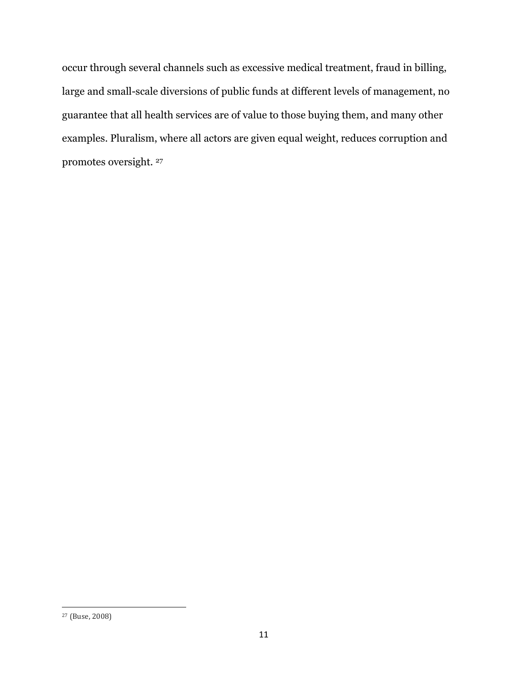occur through several channels such as excessive medical treatment, fraud in billing, large and small-scale diversions of public funds at different levels of management, no guarantee that all health services are of value to those buying them, and many other examples. Pluralism, where all actors are given equal weight, reduces corruption and promotes oversight. <sup>27</sup>

 $\overline{a}$ 

<sup>27</sup> (Buse, 2008)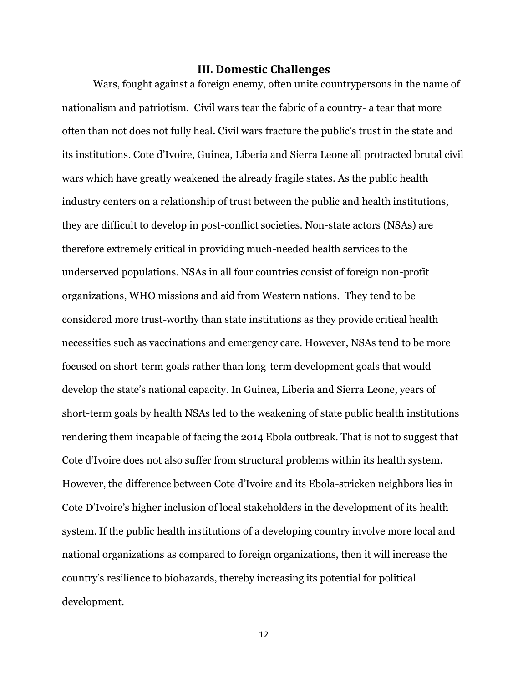#### **III. Domestic Challenges**

<span id="page-12-0"></span>Wars, fought against a foreign enemy, often unite countrypersons in the name of nationalism and patriotism. Civil wars tear the fabric of a country- a tear that more often than not does not fully heal. Civil wars fracture the public's trust in the state and its institutions. Cote d'Ivoire, Guinea, Liberia and Sierra Leone all protracted brutal civil wars which have greatly weakened the already fragile states. As the public health industry centers on a relationship of trust between the public and health institutions, they are difficult to develop in post-conflict societies. Non-state actors (NSAs) are therefore extremely critical in providing much-needed health services to the underserved populations. NSAs in all four countries consist of foreign non-profit organizations, WHO missions and aid from Western nations. They tend to be considered more trust-worthy than state institutions as they provide critical health necessities such as vaccinations and emergency care. However, NSAs tend to be more focused on short-term goals rather than long-term development goals that would develop the state's national capacity. In Guinea, Liberia and Sierra Leone, years of short-term goals by health NSAs led to the weakening of state public health institutions rendering them incapable of facing the 2014 Ebola outbreak. That is not to suggest that Cote d'Ivoire does not also suffer from structural problems within its health system. However, the difference between Cote d'Ivoire and its Ebola-stricken neighbors lies in Cote D'Ivoire's higher inclusion of local stakeholders in the development of its health system. If the public health institutions of a developing country involve more local and national organizations as compared to foreign organizations, then it will increase the country's resilience to biohazards, thereby increasing its potential for political development.

12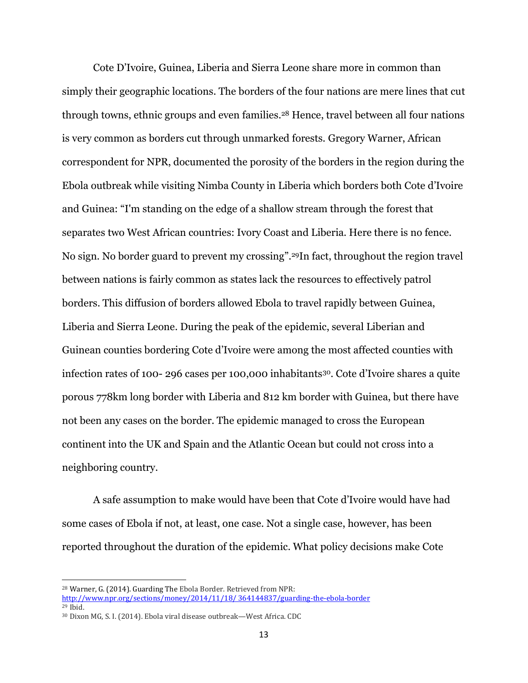Cote D'Ivoire, Guinea, Liberia and Sierra Leone share more in common than simply their geographic locations. The borders of the four nations are mere lines that cut through towns, ethnic groups and even families.<sup>28</sup> Hence, travel between all four nations is very common as borders cut through unmarked forests. Gregory Warner, African correspondent for NPR, documented the porosity of the borders in the region during the Ebola outbreak while visiting Nimba County in Liberia which borders both Cote d'Ivoire and Guinea: "I'm standing on the edge of a shallow stream through the forest that separates two West African countries: Ivory Coast and Liberia. Here there is no fence. No sign. No border guard to prevent my crossing".29In fact, throughout the region travel between nations is fairly common as states lack the resources to effectively patrol borders. This diffusion of borders allowed Ebola to travel rapidly between Guinea, Liberia and Sierra Leone. During the peak of the epidemic, several Liberian and Guinean counties bordering Cote d'Ivoire were among the most affected counties with infection rates of 100- 296 cases per 100,000 inhabitants30. Cote d'Ivoire shares a quite porous 778km long border with Liberia and 812 km border with Guinea, but there have not been any cases on the border. The epidemic managed to cross the European continent into the UK and Spain and the Atlantic Ocean but could not cross into a neighboring country.

A safe assumption to make would have been that Cote d'Ivoire would have had some cases of Ebola if not, at least, one case. Not a single case, however, has been reported throughout the duration of the epidemic. What policy decisions make Cote

<sup>29</sup> Ibid.

<sup>28</sup> Warner, G. (2014). Guarding The Ebola Border. Retrieved from NPR:

[http://www.npr.org/sections/money/2014/11/18/ 364144837/guarding-the-ebola-border](http://www.npr.org/sections/money/2014/11/18/%20364144837/guarding-the-ebola-border)

<sup>30</sup> Dixon MG, S. I. (2014). Ebola viral disease outbreak—West Africa. CDC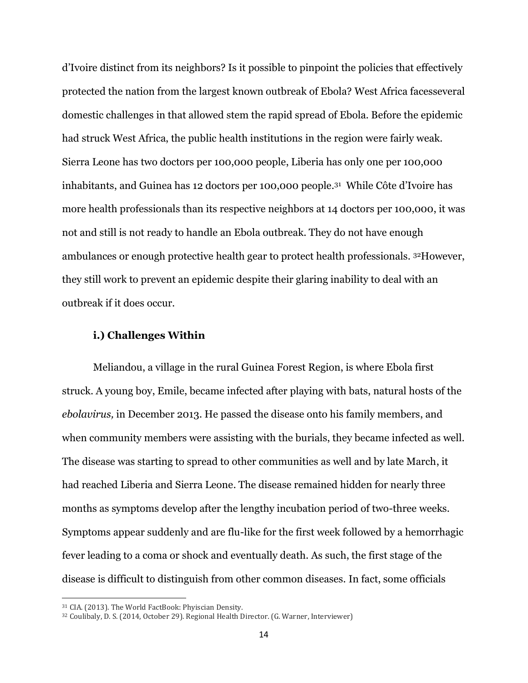d'Ivoire distinct from its neighbors? Is it possible to pinpoint the policies that effectively protected the nation from the largest known outbreak of Ebola? West Africa facesseveral domestic challenges in that allowed stem the rapid spread of Ebola. Before the epidemic had struck West Africa, the public health institutions in the region were fairly weak. Sierra Leone has two doctors per 100,000 people, Liberia has only one per 100,000 inhabitants, and Guinea has 12 doctors per 100,000 people.<sup>31</sup> While Côte d'Ivoire has more health professionals than its respective neighbors at 14 doctors per 100,000, it was not and still is not ready to handle an Ebola outbreak. They do not have enough ambulances or enough protective health gear to protect health professionals. 32However, they still work to prevent an epidemic despite their glaring inability to deal with an outbreak if it does occur.

#### **i.) Challenges Within**

Meliandou, a village in the rural Guinea Forest Region, is where Ebola first struck. A young boy, Emile, became infected after playing with bats, natural hosts of the *ebolavirus,* in December 2013*.* He passed the disease onto his family members, and when community members were assisting with the burials, they became infected as well. The disease was starting to spread to other communities as well and by late March, it had reached Liberia and Sierra Leone. The disease remained hidden for nearly three months as symptoms develop after the lengthy incubation period of two-three weeks. Symptoms appear suddenly and are flu-like for the first week followed by a hemorrhagic fever leading to a coma or shock and eventually death. As such, the first stage of the disease is difficult to distinguish from other common diseases. In fact, some officials

<sup>31</sup> CIA. (2013). The World FactBook: Phyiscian Density.

<sup>32</sup> Coulibaly, D. S. (2014, October 29). Regional Health Director. (G. Warner, Interviewer)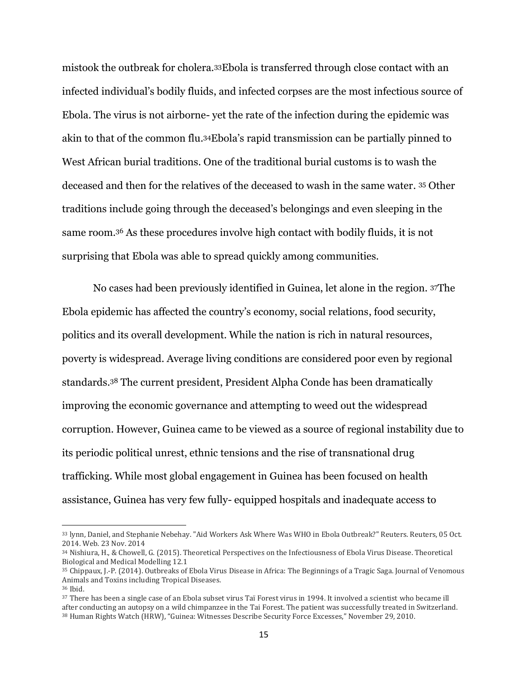mistook the outbreak for cholera.33Ebola is transferred through close contact with an infected individual's bodily fluids, and infected corpses are the most infectious source of Ebola. The virus is not airborne- yet the rate of the infection during the epidemic was akin to that of the common flu.34Ebola's rapid transmission can be partially pinned to West African burial traditions. One of the traditional burial customs is to wash the deceased and then for the relatives of the deceased to wash in the same water. <sup>35</sup> Other traditions include going through the deceased's belongings and even sleeping in the same room.<sup>36</sup> As these procedures involve high contact with bodily fluids, it is not surprising that Ebola was able to spread quickly among communities.

No cases had been previously identified in Guinea, let alone in the region. 37The Ebola epidemic has affected the country's economy, social relations, food security, politics and its overall development. While the nation is rich in natural resources, poverty is widespread. Average living conditions are considered poor even by regional standards.<sup>38</sup> The current president, President Alpha Conde has been dramatically improving the economic governance and attempting to weed out the widespread corruption. However, Guinea came to be viewed as a source of regional instability due to its periodic political unrest, ethnic tensions and the rise of transnational drug trafficking. While most global engagement in Guinea has been focused on health assistance, Guinea has very few fully- equipped hospitals and inadequate access to

 $\overline{a}$ 

<sup>33</sup> lynn, Daniel, and Stephanie Nebehay. "Aid Workers Ask Where Was WHO in Ebola Outbreak?" Reuters. Reuters, 05 Oct. 2014. Web. 23 Nov. 2014

<sup>34</sup> Nishiura, H., & Chowell, G. (2015). Theoretical Perspectives on the Infectiousness of Ebola Virus Disease. Theoretical Biological and Medical Modelling 12.1

<sup>35</sup> Chippaux, J.-P. (2014). Outbreaks of Ebola Virus Disease in Africa: The Beginnings of a Tragic Saga. Journal of Venomous Animals and Toxins including Tropical Diseases.

<sup>36</sup> Ibid.

<sup>37</sup> There has been a single case of an Ebola subset virus Taï Forest virus in 1994. It involved a scientist who became ill after conducting an autopsy on a wild chimpanzee in the Tai Forest. The patient was successfully treated in Switzerland. <sup>38</sup> Human Rights Watch (HRW), "Guinea: Witnesses Describe Security Force Excesses," November 29, 2010.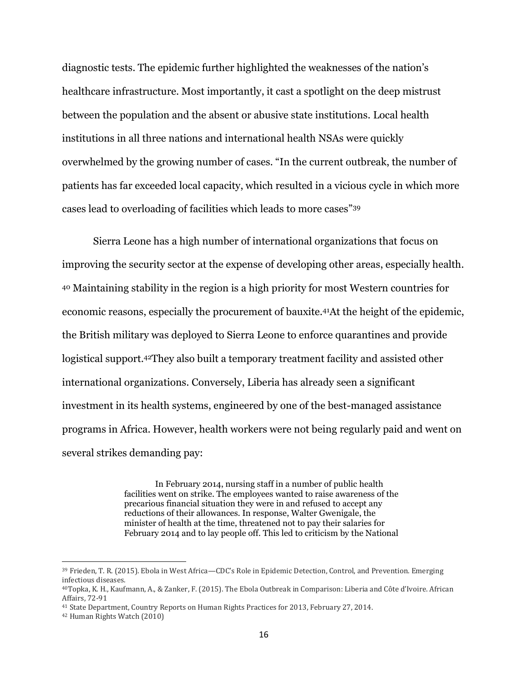diagnostic tests. The epidemic further highlighted the weaknesses of the nation's healthcare infrastructure. Most importantly, it cast a spotlight on the deep mistrust between the population and the absent or abusive state institutions. Local health institutions in all three nations and international health NSAs were quickly overwhelmed by the growing number of cases. "In the current outbreak, the number of patients has far exceeded local capacity, which resulted in a vicious cycle in which more cases lead to overloading of facilities which leads to more cases"<sup>39</sup>

Sierra Leone has a high number of international organizations that focus on improving the security sector at the expense of developing other areas, especially health. <sup>40</sup> Maintaining stability in the region is a high priority for most Western countries for economic reasons, especially the procurement of bauxite.41At the height of the epidemic, the British military was deployed to Sierra Leone to enforce quarantines and provide logistical support. <sup>42</sup>They also built a temporary treatment facility and assisted other international organizations. Conversely, Liberia has already seen a significant investment in its health systems, engineered by one of the best-managed assistance programs in Africa. However, health workers were not being regularly paid and went on several strikes demanding pay:

> In February 2014, nursing staff in a number of public health facilities went on strike. The employees wanted to raise awareness of the precarious financial situation they were in and refused to accept any reductions of their allowances. In response, Walter Gwenigale, the minister of health at the time, threatened not to pay their salaries for February 2014 and to lay people off. This led to criticism by the National

<sup>39</sup> Frieden, T. R. (2015). Ebola in West Africa—CDC's Role in Epidemic Detection, Control, and Prevention. Emerging infectious diseases.

<sup>40</sup>Topka, K. H., Kaufmann, A., & Zanker, F. (2015). The Ebola Outbreak in Comparison: Liberia and Côte d'Ivoire. African Affairs, 72-91

<sup>41</sup> State Department, Country Reports on Human Rights Practices for 2013, February 27, 2014.

<sup>42</sup> Human Rights Watch (2010)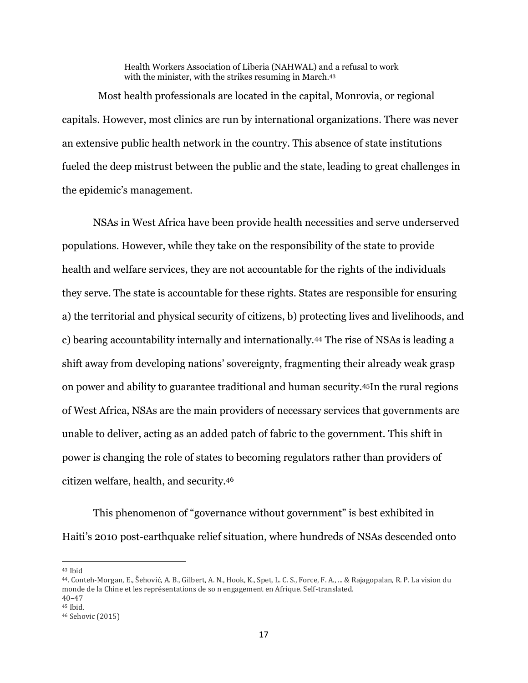Health Workers Association of Liberia (NAHWAL) and a refusal to work with the minister, with the strikes resuming in March.<sup>43</sup>

Most health professionals are located in the capital, Monrovia, or regional capitals. However, most clinics are run by international organizations. There was never an extensive public health network in the country. This absence of state institutions fueled the deep mistrust between the public and the state, leading to great challenges in the epidemic's management.

NSAs in West Africa have been provide health necessities and serve underserved populations. However, while they take on the responsibility of the state to provide health and welfare services, they are not accountable for the rights of the individuals they serve. The state is accountable for these rights. States are responsible for ensuring a) the territorial and physical security of citizens, b) protecting lives and livelihoods, and c) bearing accountability internally and internationally.<sup>44</sup> The rise of NSAs is leading a shift away from developing nations' sovereignty, fragmenting their already weak grasp on power and ability to guarantee traditional and human security.45In the rural regions of West Africa, NSAs are the main providers of necessary services that governments are unable to deliver, acting as an added patch of fabric to the government. This shift in power is changing the role of states to becoming regulators rather than providers of citizen welfare, health, and security.<sup>46</sup>

This phenomenon of "governance without government" is best exhibited in Haiti's 2010 post-earthquake relief situation, where hundreds of NSAs descended onto

 $\overline{\phantom{a}}$ <sup>43</sup> Ibid

<sup>44</sup>. Conteh-Morgan, E., Šehović, A. B., Gilbert, A. N., Hook, K., Spet, L. C. S., Force, F. A., ... & Rajagopalan, R. P. La vision du monde de la Chine et les représentations de so n engagement en Afrique. Self-translated. 40–47 <sup>45</sup> Ibid.

<sup>46</sup> Sehovic (2015)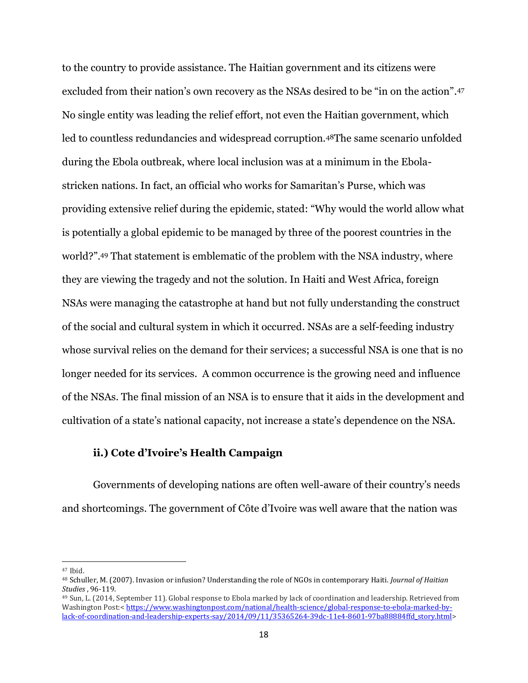to the country to provide assistance. The Haitian government and its citizens were excluded from their nation's own recovery as the NSAs desired to be "in on the action". 47 No single entity was leading the relief effort, not even the Haitian government, which led to countless redundancies and widespread corruption.48The same scenario unfolded during the Ebola outbreak, where local inclusion was at a minimum in the Ebolastricken nations. In fact, an official who works for Samaritan's Purse, which was providing extensive relief during the epidemic, stated: "Why would the world allow what is potentially a global epidemic to be managed by three of the poorest countries in the world?". <sup>49</sup> That statement is emblematic of the problem with the NSA industry, where they are viewing the tragedy and not the solution. In Haiti and West Africa, foreign NSAs were managing the catastrophe at hand but not fully understanding the construct of the social and cultural system in which it occurred. NSAs are a self-feeding industry whose survival relies on the demand for their services; a successful NSA is one that is no longer needed for its services. A common occurrence is the growing need and influence of the NSAs. The final mission of an NSA is to ensure that it aids in the development and cultivation of a state's national capacity, not increase a state's dependence on the NSA.

#### **ii.) Cote d'Ivoire's Health Campaign**

Governments of developing nations are often well-aware of their country's needs and shortcomings. The government of Côte d'Ivoire was well aware that the nation was

<sup>47</sup> Ibid.

<sup>48</sup> Schuller, M. (2007). Invasion or infusion? Understanding the role of NGOs in contemporary Haiti. *Journal of Haitian Studies* , 96-119.

<sup>49</sup> Sun, L. (2014, September 11). Global response to Ebola marked by lack of coordination and leadership. Retrieved from Washington Post:[< https://www.washingtonpost.com/national/health-science/global-response-to-ebola-marked-by](https://www.washingtonpost.com/national/health-science/global-response-to-ebola-marked-by-lack-of-coordination-and-leadership-experts-say/2014/09/11/35365264-39dc-11e4-8601-97ba88884ffd_story.html)[lack-of-coordination-and-leadership-experts-say/2014/09/11/35365264-39dc-11e4-8601-97ba88884ffd\\_story.html>](https://www.washingtonpost.com/national/health-science/global-response-to-ebola-marked-by-lack-of-coordination-and-leadership-experts-say/2014/09/11/35365264-39dc-11e4-8601-97ba88884ffd_story.html)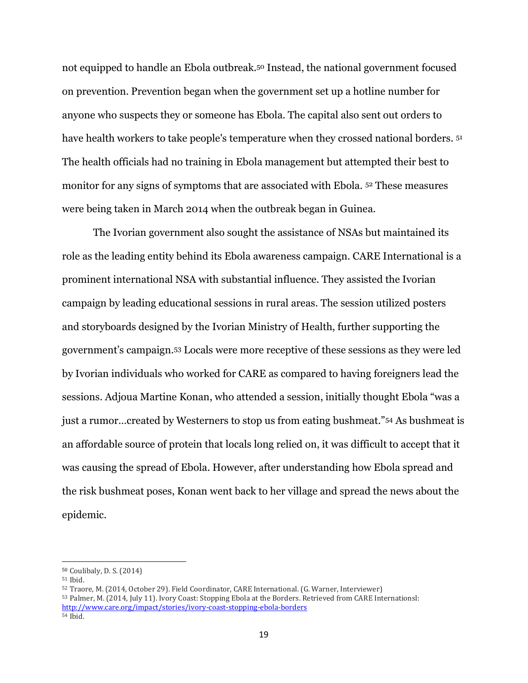not equipped to handle an Ebola outbreak.<sup>50</sup> Instead, the national government focused on prevention. Prevention began when the government set up a hotline number for anyone who suspects they or someone has Ebola. The capital also sent out orders to have health workers to take people's temperature when they crossed national borders. 51 The health officials had no training in Ebola management but attempted their best to monitor for any signs of symptoms that are associated with Ebola. <sup>52</sup> These measures were being taken in March 2014 when the outbreak began in Guinea.

The Ivorian government also sought the assistance of NSAs but maintained its role as the leading entity behind its Ebola awareness campaign. CARE International is a prominent international NSA with substantial influence. They assisted the Ivorian campaign by leading educational sessions in rural areas. The session utilized posters and storyboards designed by the Ivorian Ministry of Health, further supporting the government's campaign.<sup>53</sup> Locals were more receptive of these sessions as they were led by Ivorian individuals who worked for CARE as compared to having foreigners lead the sessions. Adjoua Martine Konan, who attended a session, initially thought Ebola "was a just a rumor…created by Westerners to stop us from eating bushmeat."<sup>54</sup> As bushmeat is an affordable source of protein that locals long relied on, it was difficult to accept that it was causing the spread of Ebola. However, after understanding how Ebola spread and the risk bushmeat poses, Konan went back to her village and spread the news about the epidemic.

<sup>50</sup> Coulibaly, D. S. (2014)

<sup>51</sup> Ibid.

<sup>52</sup> Traore, M. (2014, October 29). Field Coordinator, CARE International. (G. Warner, Interviewer) <sup>53</sup> Palmer, M. (2014, July 11). Ivory Coast: Stopping Ebola at the Borders. Retrieved from CARE Internationsl: <http://www.care.org/impact/stories/ivory-coast-stopping-ebola-borders> <sup>54</sup> Ibid.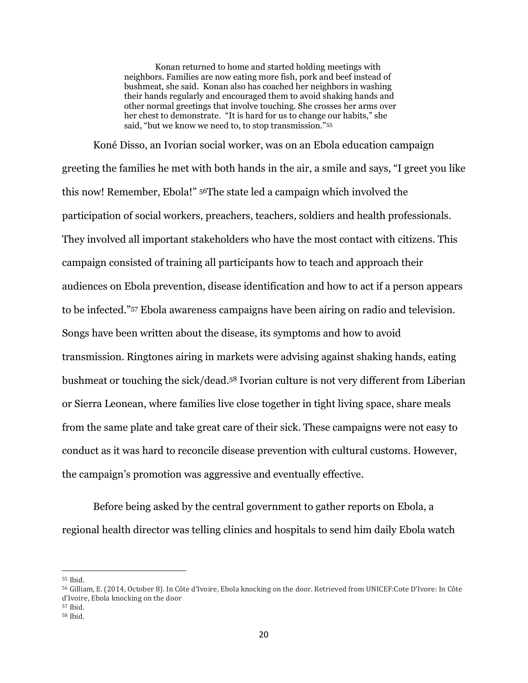Konan returned to home and started holding meetings with neighbors. Families are now eating more fish, pork and beef instead of bushmeat, she said. Konan also has coached her neighbors in washing their hands regularly and encouraged them to avoid shaking hands and other normal greetings that involve touching. She crosses her arms over her chest to demonstrate. "It is hard for us to change our habits," she said, "but we know we need to, to stop transmission."<sup>55</sup>

Koné Disso, an Ivorian social worker, was on an Ebola education campaign greeting the families he met with both hands in the air, a smile and says, "I greet you like this now! Remember, Ebola!" 56The state led a campaign which involved the participation of social workers, preachers, teachers, soldiers and health professionals. They involved all important stakeholders who have the most contact with citizens. This campaign consisted of training all participants how to teach and approach their audiences on Ebola prevention, disease identification and how to act if a person appears to be infected."<sup>57</sup> Ebola awareness campaigns have been airing on radio and television. Songs have been written about the disease, its symptoms and how to avoid transmission. Ringtones airing in markets were advising against shaking hands, eating bushmeat or touching the sick/dead.<sup>58</sup> Ivorian culture is not very different from Liberian or Sierra Leonean, where families live close together in tight living space, share meals from the same plate and take great care of their sick. These campaigns were not easy to conduct as it was hard to reconcile disease prevention with cultural customs. However, the campaign's promotion was aggressive and eventually effective.

Before being asked by the central government to gather reports on Ebola, a regional health director was telling clinics and hospitals to send him daily Ebola watch

<sup>55</sup> Ibid.

<sup>56</sup> Gilliam, E. (2014, October 8). In Côte d'Ivoire, Ebola knocking on the door. Retrieved from UNICEF:Cote D'Ivore: In Côte d'Ivoire, Ebola knocking on the door

<sup>57</sup> Ibid.

<sup>58</sup> Ibid.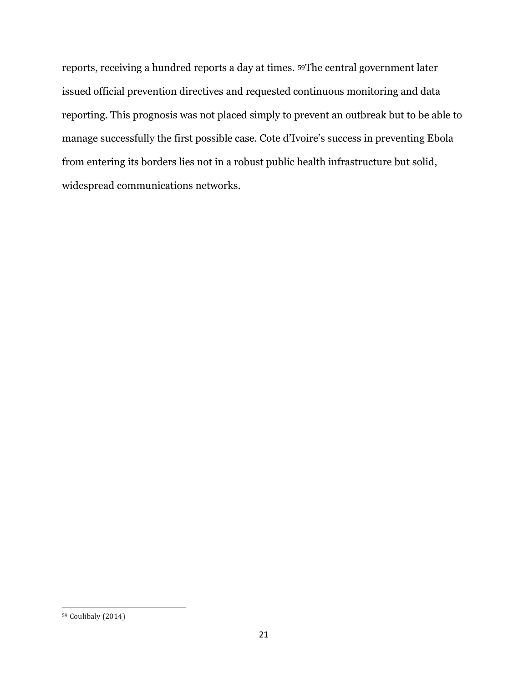reports, receiving a hundred reports a day at times. 59The central government later issued official prevention directives and requested continuous monitoring and data reporting. This prognosis was not placed simply to prevent an outbreak but to be able to manage successfully the first possible case. Cote d'Ivoire's success in preventing Ebola from entering its borders lies not in a robust public health infrastructure but solid, widespread communications networks.

 $\overline{a}$ 

<sup>59</sup> Coulibaly (2014)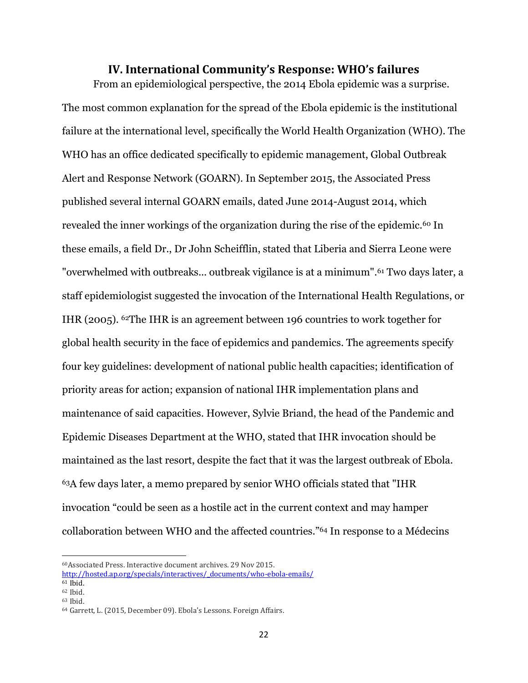#### **IV. International Community's Response: WHO's failures**

<span id="page-22-0"></span>From an epidemiological perspective, the 2014 Ebola epidemic was a surprise. The most common explanation for the spread of the Ebola epidemic is the institutional failure at the international level, specifically the World Health Organization (WHO). The WHO has an office dedicated specifically to epidemic management, Global Outbreak Alert and Response Network (GOARN). In September 2015, the Associated Press published several internal GOARN emails, dated June 2014-August 2014, which revealed the inner workings of the organization during the rise of the epidemic.<sup>60</sup> In these emails, a field Dr., Dr John Scheifflin, stated that Liberia and Sierra Leone were "overwhelmed with outbreaks... outbreak vigilance is at a minimum".<sup>61</sup> Two days later, a staff epidemiologist suggested the invocation of the International Health Regulations, or IHR (2005). 62The IHR is an agreement between 196 countries to work together for global health security in the face of epidemics and pandemics. The agreements specify four key guidelines: development of national public health capacities; identification of priority areas for action; expansion of national IHR implementation plans and maintenance of said capacities. However, Sylvie Briand, the head of the Pandemic and Epidemic Diseases Department at the WHO, stated that IHR invocation should be maintained as the last resort, despite the fact that it was the largest outbreak of Ebola. <sup>63</sup>A few days later, a memo prepared by senior WHO officials stated that "IHR invocation "could be seen as a hostile act in the current context and may hamper collaboration between WHO and the affected countries."<sup>64</sup> In response to a Médecins

<sup>60</sup>Associated Press. Interactive document archives. 29 Nov 2015.

[http://hosted.ap.org/specials/interactives/\\_documents/who-ebola-emails/](http://hosted.ap.org/specials/interactives/_documents/who-ebola-emails/)

<sup>61</sup> Ibid.

<sup>62</sup> Ibid.

<sup>63</sup> Ibid.

<sup>64</sup> Garrett, L. (2015, December 09). Ebola's Lessons. Foreign Affairs.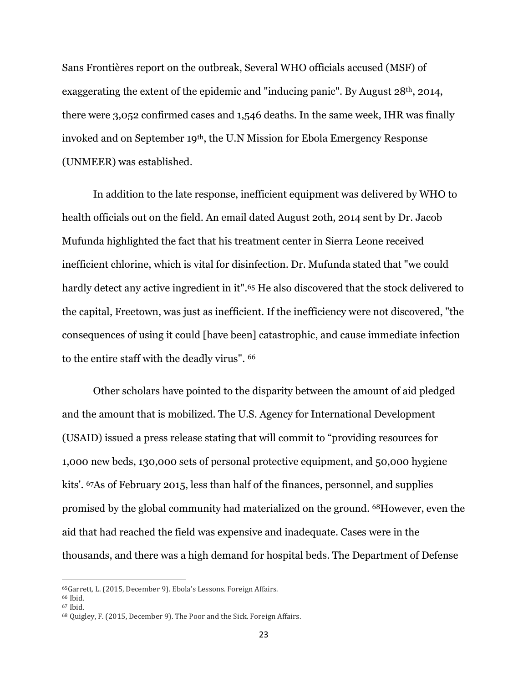Sans Frontières report on the outbreak, Several WHO officials accused (MSF) of exaggerating the extent of the epidemic and "inducing panic". By August 28<sup>th</sup>, 2014, there were 3,052 confirmed cases and 1,546 deaths. In the same week, IHR was finally invoked and on September 19th, the U.N Mission for Ebola Emergency Response (UNMEER) was established.

In addition to the late response, inefficient equipment was delivered by WHO to health officials out on the field. An email dated August 2oth, 2014 sent by Dr. Jacob Mufunda highlighted the fact that his treatment center in Sierra Leone received inefficient chlorine, which is vital for disinfection. Dr. Mufunda stated that "we could hardly detect any active ingredient in it".<sup>65</sup> He also discovered that the stock delivered to the capital, Freetown, was just as inefficient. If the inefficiency were not discovered, "the consequences of using it could [have been] catastrophic, and cause immediate infection to the entire staff with the deadly virus". <sup>66</sup>

Other scholars have pointed to the disparity between the amount of aid pledged and the amount that is mobilized. The U.S. Agency for International Development (USAID) issued a press release stating that will commit to "providing resources for 1,000 new beds, 130,000 sets of personal protective equipment, and 50,000 hygiene kits'. 67As of February 2015, less than half of the finances, personnel, and supplies promised by the global community had materialized on the ground. 68However, even the aid that had reached the field was expensive and inadequate. Cases were in the thousands, and there was a high demand for hospital beds. The Department of Defense

<sup>65</sup>Garrett, L. (2015, December 9). Ebola's Lessons. Foreign Affairs.

<sup>66</sup> Ibid.

<sup>67</sup> Ibid.

<sup>68</sup> Quigley, F. (2015, December 9). The Poor and the Sick. Foreign Affairs.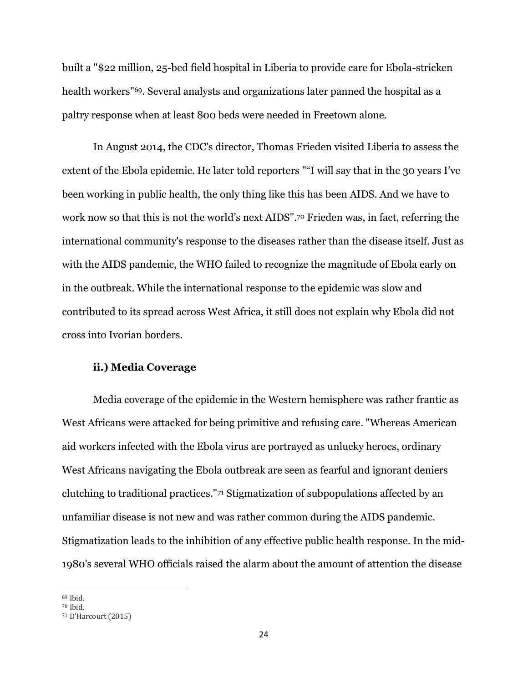built a "\$22 million, 25-bed field hospital in Liberia to provide care for Ebola-stricken health workers<sup>"69</sup>. Several analysts and organizations later panned the hospital as a paltry response when at least 800 beds were needed in Freetown alone.

In August 2014, the CDC's director, Thomas Frieden visited Liberia to assess the extent of the Ebola epidemic. He later told reporters ""I will say that in the 30 years I've been working in public health, the only thing like this has been AIDS. And we have to work now so that this is not the world's next AIDS".<sup>70</sup> Frieden was, in fact, referring the international community's response to the diseases rather than the disease itself. Just as with the AIDS pandemic, the WHO failed to recognize the magnitude of Ebola early on in the outbreak. While the international response to the epidemic was slow and contributed to its spread across West Africa, it still does not explain why Ebola did not cross into Ivorian borders.

#### **ii.) Media Coverage**

Media coverage of the epidemic in the Western hemisphere was rather frantic as West Africans were attacked for being primitive and refusing care. "Whereas American aid workers infected with the Ebola virus are portrayed as unlucky heroes, ordinary West Africans navigating the Ebola outbreak are seen as fearful and ignorant deniers clutching to traditional practices."<sup>71</sup> Stigmatization of subpopulations affected by an unfamiliar disease is not new and was rather common during the AIDS pandemic. Stigmatization leads to the inhibition of any effective public health response. In the mid-1980's several WHO officials raised the alarm about the amount of attention the disease

<sup>69</sup> Ibid.

<sup>70</sup> Ibid.

<sup>71</sup> D'Harcourt (2015)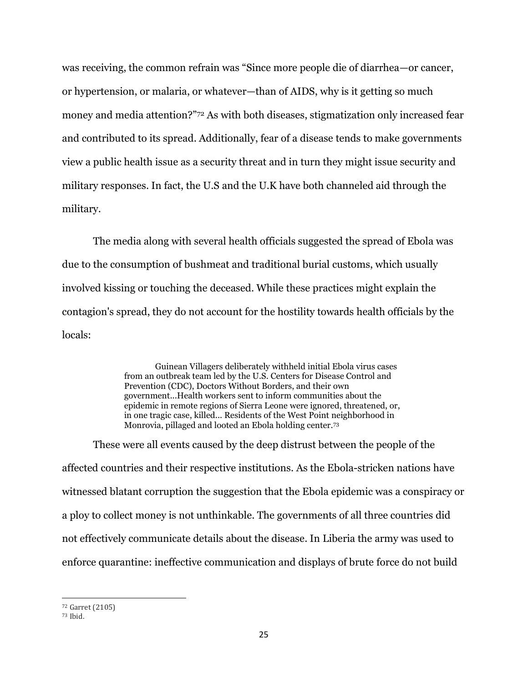was receiving, the common refrain was "Since more people die of diarrhea—or cancer, or hypertension, or malaria, or whatever—than of AIDS, why is it getting so much money and media attention?"<sup>72</sup> As with both diseases, stigmatization only increased fear and contributed to its spread. Additionally, fear of a disease tends to make governments view a public health issue as a security threat and in turn they might issue security and military responses. In fact, the U.S and the U.K have both channeled aid through the military.

The media along with several health officials suggested the spread of Ebola was due to the consumption of bushmeat and traditional burial customs, which usually involved kissing or touching the deceased. While these practices might explain the contagion's spread, they do not account for the hostility towards health officials by the locals:

> Guinean Villagers deliberately withheld initial Ebola virus cases from an outbreak team led by the U.S. Centers for Disease Control and Prevention (CDC), Doctors Without Borders, and their own government...Health workers sent to inform communities about the epidemic in remote regions of Sierra Leone were ignored, threatened, or, in one tragic case, killed... Residents of the West Point neighborhood in Monrovia, pillaged and looted an Ebola holding center.<sup>73</sup>

These were all events caused by the deep distrust between the people of the affected countries and their respective institutions. As the Ebola-stricken nations have witnessed blatant corruption the suggestion that the Ebola epidemic was a conspiracy or a ploy to collect money is not unthinkable. The governments of all three countries did not effectively communicate details about the disease. In Liberia the army was used to enforce quarantine: ineffective communication and displays of brute force do not build

<sup>72</sup> Garret (2105)

<sup>73</sup> Ibid.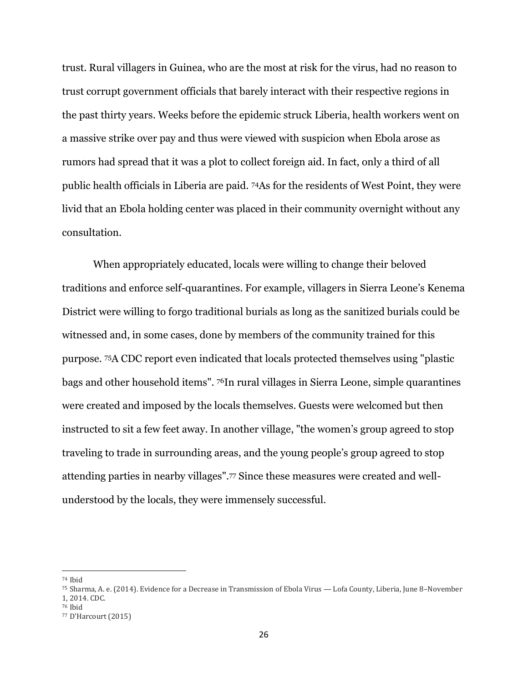trust. Rural villagers in Guinea, who are the most at risk for the virus, had no reason to trust corrupt government officials that barely interact with their respective regions in the past thirty years. Weeks before the epidemic struck Liberia, health workers went on a massive strike over pay and thus were viewed with suspicion when Ebola arose as rumors had spread that it was a plot to collect foreign aid. In fact, only a third of all public health officials in Liberia are paid. 74As for the residents of West Point, they were livid that an Ebola holding center was placed in their community overnight without any consultation.

When appropriately educated, locals were willing to change their beloved traditions and enforce self-quarantines. For example, villagers in Sierra Leone's Kenema District were willing to forgo traditional burials as long as the sanitized burials could be witnessed and, in some cases, done by members of the community trained for this purpose. 75A CDC report even indicated that locals protected themselves using "plastic bags and other household items". 76In rural villages in Sierra Leone, simple quarantines were created and imposed by the locals themselves. Guests were welcomed but then instructed to sit a few feet away. In another village, "the women's group agreed to stop traveling to trade in surrounding areas, and the young people's group agreed to stop attending parties in nearby villages".<sup>77</sup> Since these measures were created and wellunderstood by the locals, they were immensely successful.

<sup>74</sup> Ibid

<sup>75</sup> Sharma, A. e. (2014). Evidence for a Decrease in Transmission of Ebola Virus — Lofa County, Liberia, June 8–November 1, 2014. CDC.

<sup>76</sup> Ibid

<sup>77</sup> D'Harcourt (2015)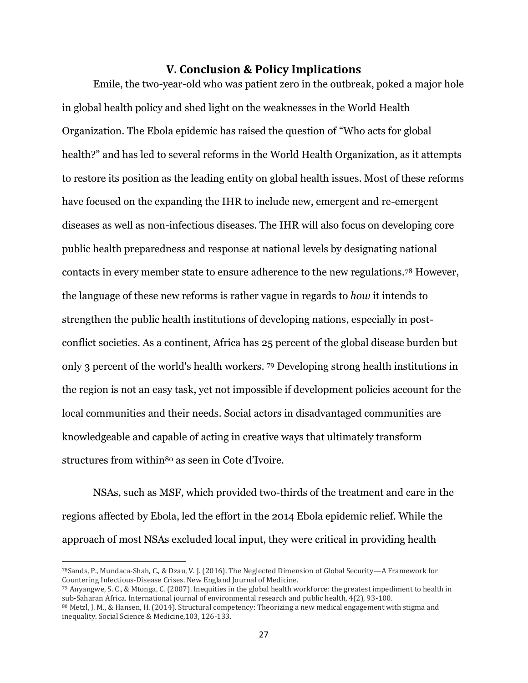#### **V. Conclusion & Policy Implications**

<span id="page-27-0"></span>Emile, the two-year-old who was patient zero in the outbreak, poked a major hole in global health policy and shed light on the weaknesses in the World Health Organization. The Ebola epidemic has raised the question of "Who acts for global health?" and has led to several reforms in the World Health Organization, as it attempts to restore its position as the leading entity on global health issues. Most of these reforms have focused on the expanding the IHR to include new, emergent and re-emergent diseases as well as non-infectious diseases. The IHR will also focus on developing core public health preparedness and response at national levels by designating national contacts in every member state to ensure adherence to the new regulations.<sup>78</sup> However, the language of these new reforms is rather vague in regards to *how* it intends to strengthen the public health institutions of developing nations, especially in postconflict societies. As a continent, Africa has 25 percent of the global disease burden but only 3 percent of the world's health workers. <sup>79</sup> Developing strong health institutions in the region is not an easy task, yet not impossible if development policies account for the local communities and their needs. Social actors in disadvantaged communities are knowledgeable and capable of acting in creative ways that ultimately transform structures from within<sup>80</sup> as seen in Cote d'Ivoire.

NSAs, such as MSF, which provided two-thirds of the treatment and care in the regions affected by Ebola, led the effort in the 2014 Ebola epidemic relief. While the approach of most NSAs excluded local input, they were critical in providing health

 $\overline{\phantom{a}}$ 

<sup>79</sup> Anyangwe, S. C., & Mtonga, C. (2007). Inequities in the global health workforce: the greatest impediment to health in sub-Saharan Africa. International journal of environmental research and public health, 4(2), 93-100.

<sup>78</sup>Sands, P., Mundaca-Shah, C., & Dzau, V. J. (2016). The Neglected Dimension of Global Security—A Framework for Countering Infectious-Disease Crises. New England Journal of Medicine.

<sup>80</sup> Metzl, J. M., & Hansen, H. (2014). Structural competency: Theorizing a new medical engagement with stigma and inequality. Social Science & Medicine,103, 126-133.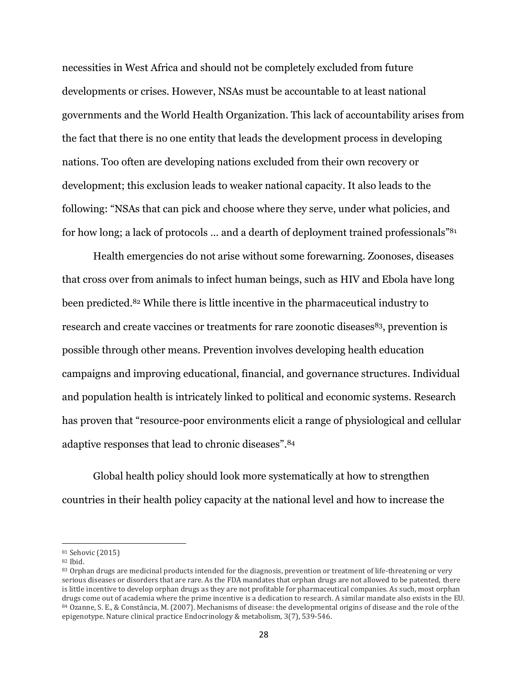necessities in West Africa and should not be completely excluded from future developments or crises. However, NSAs must be accountable to at least national governments and the World Health Organization. This lack of accountability arises from the fact that there is no one entity that leads the development process in developing nations. Too often are developing nations excluded from their own recovery or development; this exclusion leads to weaker national capacity. It also leads to the following: "NSAs that can pick and choose where they serve, under what policies, and for how long; a lack of protocols … and a dearth of deployment trained professionals"<sup>81</sup>

Health emergencies do not arise without some forewarning. Zoonoses, diseases that cross over from animals to infect human beings, such as HIV and Ebola have long been predicted.<sup>82</sup> While there is little incentive in the pharmaceutical industry to research and create vaccines or treatments for rare zoonotic diseases<sup>83</sup>, prevention is possible through other means. Prevention involves developing health education campaigns and improving educational, financial, and governance structures. Individual and population health is intricately linked to political and economic systems. Research has proven that "resource-poor environments elicit a range of physiological and cellular adaptive responses that lead to chronic diseases".<sup>84</sup>

Global health policy should look more systematically at how to strengthen countries in their health policy capacity at the national level and how to increase the

l

<sup>81</sup> Sehovic (2015)

<sup>82</sup> Ibid.

<sup>83</sup> Orphan drugs are medicinal products intended for the diagnosis, prevention or treatment of life-threatening or very serious diseases or disorders that are rare. As the FDA mandates that orphan drugs are not allowed to be patented, there is little incentive to develop orphan drugs as they are not profitable for pharmaceutical companies. As such, most orphan drugs come out of academia where the prime incentive is a dedication to research. A similar mandate also exists in the EU. 84 Ozanne, S. E., & Constância, M. (2007). Mechanisms of disease: the developmental origins of disease and the role of the epigenotype. Nature clinical practice Endocrinology & metabolism, 3(7), 539-546.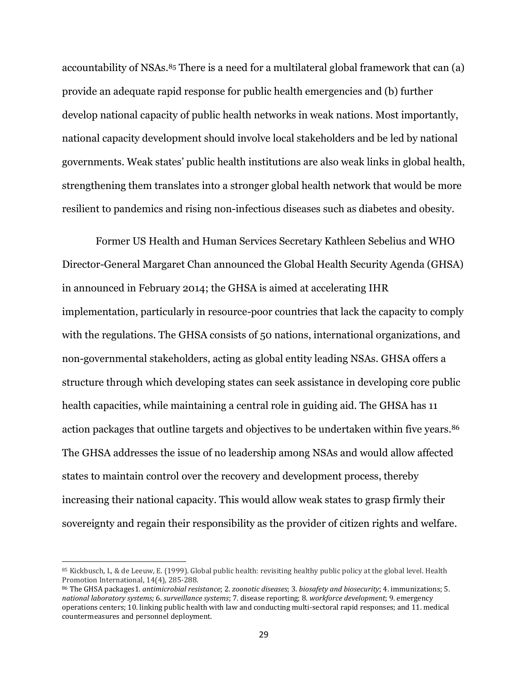accountability of NSAs.<sup>85</sup> There is a need for a multilateral global framework that can (a) provide an adequate rapid response for public health emergencies and (b) further develop national capacity of public health networks in weak nations. Most importantly, national capacity development should involve local stakeholders and be led by national governments. Weak states' public health institutions are also weak links in global health, strengthening them translates into a stronger global health network that would be more resilient to pandemics and rising non-infectious diseases such as diabetes and obesity.

Former US Health and Human Services Secretary Kathleen Sebelius and WHO Director-General Margaret Chan announced the Global Health Security Agenda (GHSA) in announced in February 2014; the GHSA is aimed at accelerating IHR implementation, particularly in resource-poor countries that lack the capacity to comply with the regulations. The GHSA consists of 50 nations, international organizations, and non-governmental stakeholders, acting as global entity leading NSAs. GHSA offers a structure through which developing states can seek assistance in developing core public health capacities, while maintaining a central role in guiding aid. The GHSA has 11 action packages that outline targets and objectives to be undertaken within five years.<sup>86</sup> The GHSA addresses the issue of no leadership among NSAs and would allow affected states to maintain control over the recovery and development process, thereby increasing their national capacity. This would allow weak states to grasp firmly their sovereignty and regain their responsibility as the provider of citizen rights and welfare.

<sup>85</sup> Kickbusch, I., & de Leeuw, E. (1999). Global public health: revisiting healthy public policy at the global level. Health Promotion International, 14(4), 285-288.

<sup>86</sup> The GHSA packages1. *antimicrobial resistance*; 2. *zoonotic diseases*; 3. *biosafety and biosecurity*; 4. immunizations; 5. *national laboratory systems;* 6. *surveillance systems*; 7. disease reporting; 8. *workforce development*; 9. emergency operations centers; 10. linking public health with law and conducting multi-sectoral rapid responses; and 11. medical countermeasures and personnel deployment.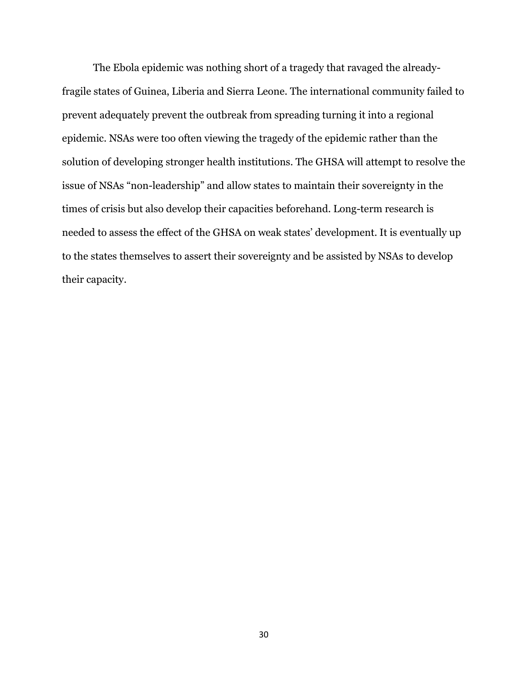The Ebola epidemic was nothing short of a tragedy that ravaged the alreadyfragile states of Guinea, Liberia and Sierra Leone. The international community failed to prevent adequately prevent the outbreak from spreading turning it into a regional epidemic. NSAs were too often viewing the tragedy of the epidemic rather than the solution of developing stronger health institutions. The GHSA will attempt to resolve the issue of NSAs "non-leadership" and allow states to maintain their sovereignty in the times of crisis but also develop their capacities beforehand. Long-term research is needed to assess the effect of the GHSA on weak states' development. It is eventually up to the states themselves to assert their sovereignty and be assisted by NSAs to develop their capacity.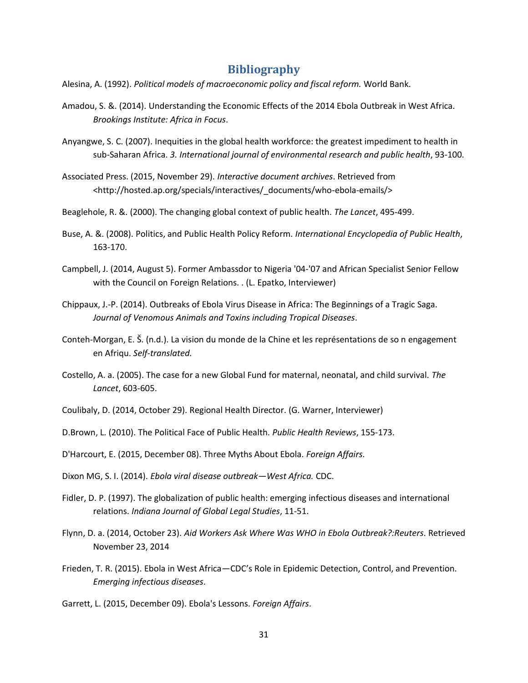#### **Bibliography**

Alesina, A. (1992). *Political models of macroeconomic policy and fiscal reform.* World Bank.

- Amadou, S. &. (2014). Understanding the Economic Effects of the 2014 Ebola Outbreak in West Africa. *Brookings Institute: Africa in Focus*.
- Anyangwe, S. C. (2007). Inequities in the global health workforce: the greatest impediment to health in sub-Saharan Africa. *3. International journal of environmental research and public health*, 93-100.
- Associated Press. (2015, November 29). *Interactive document archives*. Retrieved from <http://hosted.ap.org/specials/interactives/\_documents/who-ebola-emails/>
- Beaglehole, R. &. (2000). The changing global context of public health. *The Lancet*, 495-499.
- Buse, A. &. (2008). Politics, and Public Health Policy Reform. *International Encyclopedia of Public Health*, 163-170.
- Campbell, J. (2014, August 5). Former Ambassdor to Nigeria '04-'07 and African Specialist Senior Fellow with the Council on Foreign Relations. . (L. Epatko, Interviewer)
- Chippaux, J.-P. (2014). Outbreaks of Ebola Virus Disease in Africa: The Beginnings of a Tragic Saga. *Journal of Venomous Animals and Toxins including Tropical Diseases*.
- Conteh-Morgan, E. Š. (n.d.). La vision du monde de la Chine et les représentations de so n engagement en Afriqu. *Self-translated.*
- Costello, A. a. (2005). The case for a new Global Fund for maternal, neonatal, and child survival. *The Lancet*, 603-605.
- Coulibaly, D. (2014, October 29). Regional Health Director. (G. Warner, Interviewer)
- D.Brown, L. (2010). The Political Face of Public Health. *Public Health Reviews*, 155-173.
- D'Harcourt, E. (2015, December 08). Three Myths About Ebola. *Foreign Affairs*.
- Dixon MG, S. I. (2014). *Ebola viral disease outbreak—West Africa.* CDC.
- Fidler, D. P. (1997). The globalization of public health: emerging infectious diseases and international relations. *Indiana Journal of Global Legal Studies*, 11-51.
- Flynn, D. a. (2014, October 23). *Aid Workers Ask Where Was WHO in Ebola Outbreak?:Reuters*. Retrieved November 23, 2014
- Frieden, T. R. (2015). Ebola in West Africa—CDC's Role in Epidemic Detection, Control, and Prevention. *Emerging infectious diseases*.
- Garrett, L. (2015, December 09). Ebola's Lessons. *Foreign Affairs*.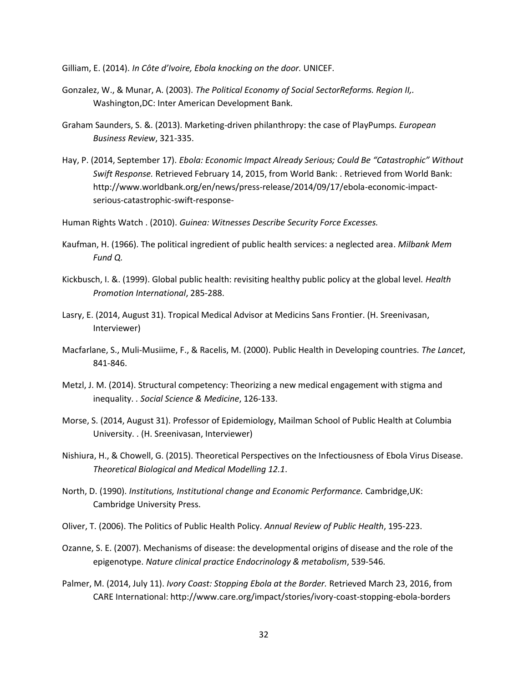Gilliam, E. (2014). *In Côte d'Ivoire, Ebola knocking on the door.* UNICEF.

- Gonzalez, W., & Munar, A. (2003). *The Political Economy of Social SectorReforms. Region II,.* Washington,DC: Inter American Development Bank.
- Graham Saunders, S. &. (2013). Marketing-driven philanthropy: the case of PlayPumps. *European Business Review*, 321-335.
- Hay, P. (2014, September 17). *Ebola: Economic Impact Already Serious; Could Be "Catastrophic" Without Swift Response.* Retrieved February 14, 2015, from World Bank: . Retrieved from World Bank: http://www.worldbank.org/en/news/press-release/2014/09/17/ebola-economic-impactserious-catastrophic-swift-response-
- Human Rights Watch . (2010). *Guinea: Witnesses Describe Security Force Excesses.*
- Kaufman, H. (1966). The political ingredient of public health services: a neglected area. *Milbank Mem Fund Q.*
- Kickbusch, I. &. (1999). Global public health: revisiting healthy public policy at the global level. *Health Promotion International*, 285-288.
- Lasry, E. (2014, August 31). Tropical Medical Advisor at Medicins Sans Frontier. (H. Sreenivasan, Interviewer)
- Macfarlane, S., Muli-Musiime, F., & Racelis, M. (2000). Public Health in Developing countries. *The Lancet*, 841-846.
- Metzl, J. M. (2014). Structural competency: Theorizing a new medical engagement with stigma and inequality. *. Social Science & Medicine*, 126-133.
- Morse, S. (2014, August 31). Professor of Epidemiology, Mailman School of Public Health at Columbia University. . (H. Sreenivasan, Interviewer)
- Nishiura, H., & Chowell, G. (2015). Theoretical Perspectives on the Infectiousness of Ebola Virus Disease. *Theoretical Biological and Medical Modelling 12.1*.
- North, D. (1990). *Institutions, Institutional change and Economic Performance.* Cambridge,UK: Cambridge University Press.
- Oliver, T. (2006). The Politics of Public Health Policy. *Annual Review of Public Health*, 195-223.
- Ozanne, S. E. (2007). Mechanisms of disease: the developmental origins of disease and the role of the epigenotype. *Nature clinical practice Endocrinology & metabolism*, 539-546.
- Palmer, M. (2014, July 11). *Ivory Coast: Stopping Ebola at the Border.* Retrieved March 23, 2016, from CARE International: http://www.care.org/impact/stories/ivory-coast-stopping-ebola-borders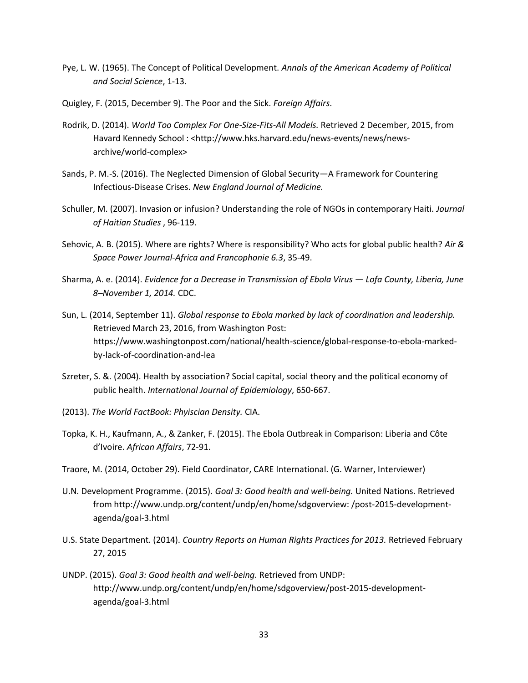- Pye, L. W. (1965). The Concept of Political Development. *Annals of the American Academy of Political and Social Science*, 1-13.
- Quigley, F. (2015, December 9). The Poor and the Sick. *Foreign Affairs*.
- Rodrik, D. (2014). *World Too Complex For One-Size-Fits-All Models.* Retrieved 2 December, 2015, from Havard Kennedy School : <http://www.hks.harvard.edu/news-events/news/newsarchive/world-complex>
- Sands, P. M.-S. (2016). The Neglected Dimension of Global Security—A Framework for Countering Infectious-Disease Crises. *New England Journal of Medicine.*
- Schuller, M. (2007). Invasion or infusion? Understanding the role of NGOs in contemporary Haiti. *Journal of Haitian Studies* , 96-119.
- Sehovic, A. B. (2015). Where are rights? Where is responsibility? Who acts for global public health? *Air & Space Power Journal-Africa and Francophonie 6.3*, 35-49.
- Sharma, A. e. (2014). *Evidence for a Decrease in Transmission of Ebola Virus — Lofa County, Liberia, June 8–November 1, 2014.* CDC.
- Sun, L. (2014, September 11). *Global response to Ebola marked by lack of coordination and leadership.* Retrieved March 23, 2016, from Washington Post: https://www.washingtonpost.com/national/health-science/global-response-to-ebola-markedby-lack-of-coordination-and-lea
- Szreter, S. &. (2004). Health by association? Social capital, social theory and the political economy of public health. *International Journal of Epidemiology*, 650-667.
- (2013). *The World FactBook: Phyiscian Density.* CIA.
- Topka, K. H., Kaufmann, A., & Zanker, F. (2015). The Ebola Outbreak in Comparison: Liberia and Côte d'Ivoire. *African Affairs*, 72-91.
- Traore, M. (2014, October 29). Field Coordinator, CARE International. (G. Warner, Interviewer)
- U.N. Development Programme. (2015). *Goal 3: Good health and well-being.* United Nations. Retrieved from http://www.undp.org/content/undp/en/home/sdgoverview: /post-2015-developmentagenda/goal-3.html
- U.S. State Department. (2014). *Country Reports on Human Rights Practices for 2013.* Retrieved February 27, 2015
- UNDP. (2015). *Goal 3: Good health and well-being*. Retrieved from UNDP: http://www.undp.org/content/undp/en/home/sdgoverview/post-2015-developmentagenda/goal-3.html